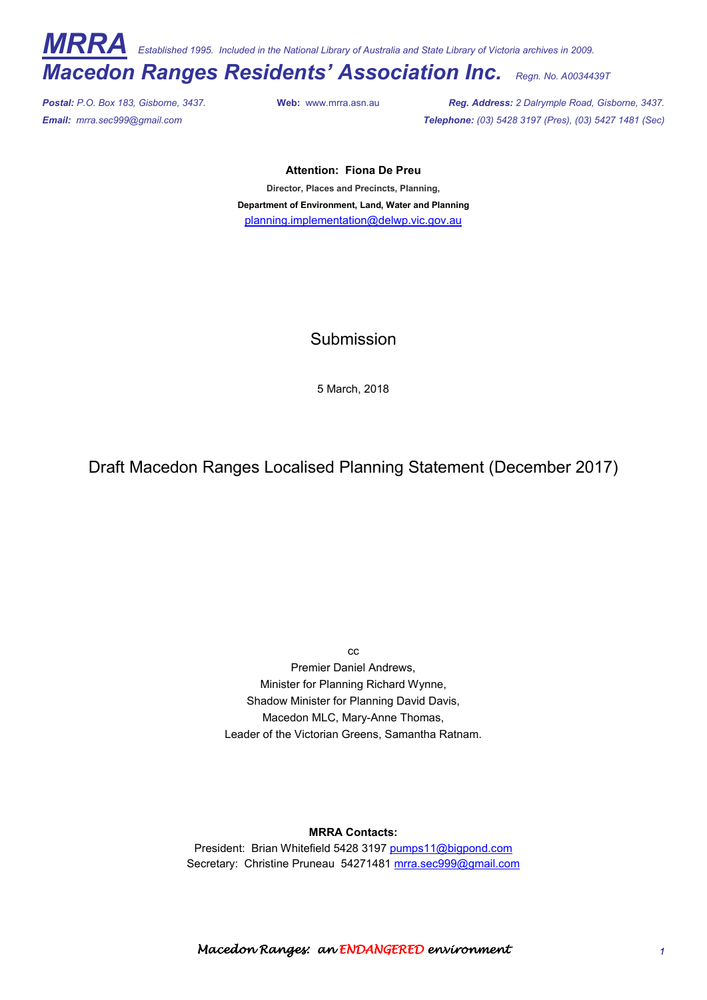*MRRA Established 1995. Included in the National Library of Australia and State Library of Victoria archives in 2009.* 

# *Macedon Ranges Residents' Association Inc. Regn. No. A0034439T*

*Postal: P.O. Box 183, Gisborne, 3437.* **Web:** www.mrra.asn.au *Reg. Address: 2 Dalrymple Road, Gisborne, 3437. Email: mrra.sec999@gmail.com Telephone: (03) 5428 3197 (Pres), (03) 5427 1481 (Sec)*

#### **Attention: Fiona De Preu**

**Director, Places and Precincts, Planning, Department of Environment, Land, Water and Planning** planning.implementation@delwp.vic.gov.au

Submission

5 March, 2018

Draft Macedon Ranges Localised Planning Statement (December 2017)

cc

Premier Daniel Andrews, Minister for Planning Richard Wynne, Shadow Minister for Planning David Davis, Macedon MLC, Mary-Anne Thomas, Leader of the Victorian Greens, Samantha Ratnam.

**MRRA Contacts:** 

President: Brian Whitefield 5428 3197 pumps11@bigpond.com Secretary: Christine Pruneau 54271481 mrra.sec999@gmail.com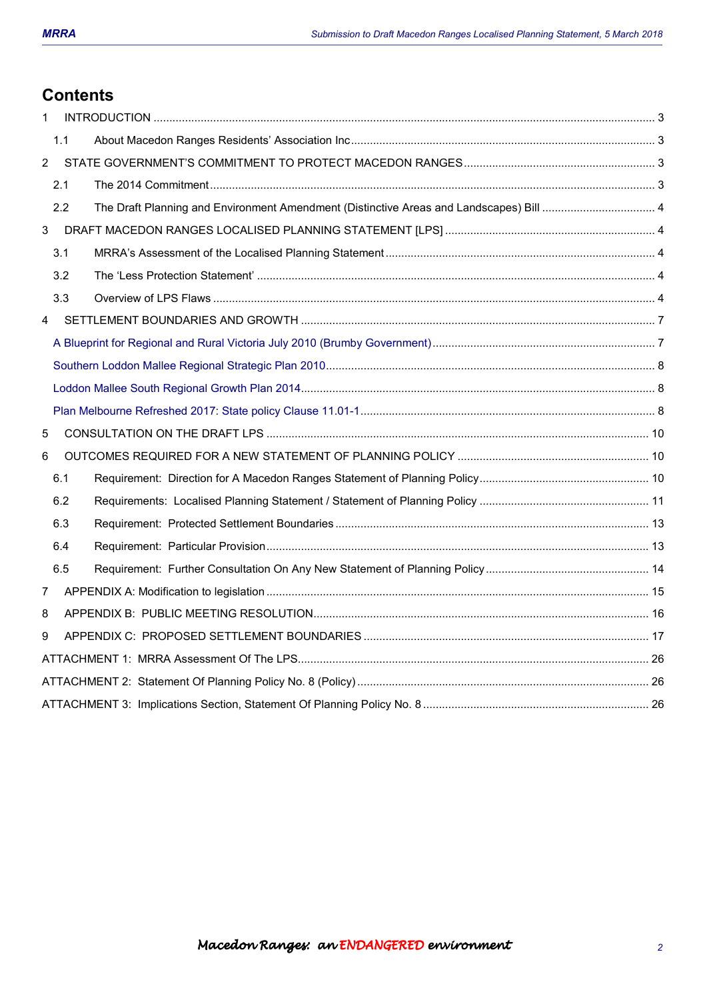# **Contents**

| $\mathbf{1}$   |     |  |
|----------------|-----|--|
|                | 1.1 |  |
| $\overline{2}$ |     |  |
|                | 2.1 |  |
|                | 2.2 |  |
| 3              |     |  |
|                | 3.1 |  |
|                | 3.2 |  |
|                | 3.3 |  |
| 4              |     |  |
|                |     |  |
|                |     |  |
|                |     |  |
|                |     |  |
| 5              |     |  |
| 6              |     |  |
|                | 6.1 |  |
|                | 6.2 |  |
|                | 6.3 |  |
|                | 6.4 |  |
|                | 6.5 |  |
| 7              |     |  |
| 8              |     |  |
| 9              |     |  |
|                |     |  |
|                |     |  |
|                |     |  |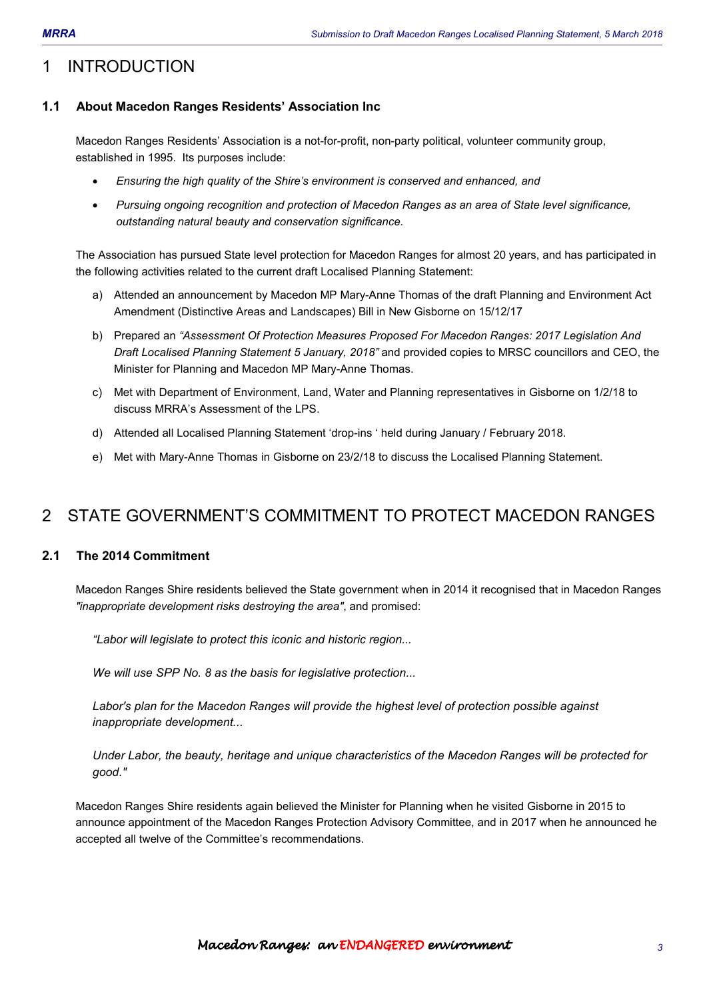# 1 INTRODUCTION

## **1.1 About Macedon Ranges Residents' Association Inc**

Macedon Ranges Residents' Association is a not-for-profit, non-party political, volunteer community group, established in 1995. Its purposes include:

- *Ensuring the high quality of the Shire's environment is conserved and enhanced, and*
- *Pursuing ongoing recognition and protection of Macedon Ranges as an area of State level significance, outstanding natural beauty and conservation significance.*

The Association has pursued State level protection for Macedon Ranges for almost 20 years, and has participated in the following activities related to the current draft Localised Planning Statement:

- a) Attended an announcement by Macedon MP Mary-Anne Thomas of the draft Planning and Environment Act Amendment (Distinctive Areas and Landscapes) Bill in New Gisborne on 15/12/17
- b) Prepared an *"Assessment Of Protection Measures Proposed For Macedon Ranges: 2017 Legislation And Draft Localised Planning Statement 5 January, 2018"* and provided copies to MRSC councillors and CEO, the Minister for Planning and Macedon MP Mary-Anne Thomas.
- c) Met with Department of Environment, Land, Water and Planning representatives in Gisborne on 1/2/18 to discuss MRRA's Assessment of the LPS.
- d) Attended all Localised Planning Statement 'drop-ins ' held during January / February 2018.
- e) Met with Mary-Anne Thomas in Gisborne on 23/2/18 to discuss the Localised Planning Statement.

# 2 STATE GOVERNMENT'S COMMITMENT TO PROTECT MACEDON RANGES

## **2.1 The 2014 Commitment**

Macedon Ranges Shire residents believed the State government when in 2014 it recognised that in Macedon Ranges *"inappropriate development risks destroying the area"*, and promised:

*"Labor will legislate to protect this iconic and historic region...* 

*We will use SPP No. 8 as the basis for legislative protection...* 

*Labor's plan for the Macedon Ranges will provide the highest level of protection possible against inappropriate development...* 

*Under Labor, the beauty, heritage and unique characteristics of the Macedon Ranges will be protected for good."* 

Macedon Ranges Shire residents again believed the Minister for Planning when he visited Gisborne in 2015 to announce appointment of the Macedon Ranges Protection Advisory Committee, and in 2017 when he announced he accepted all twelve of the Committee's recommendations.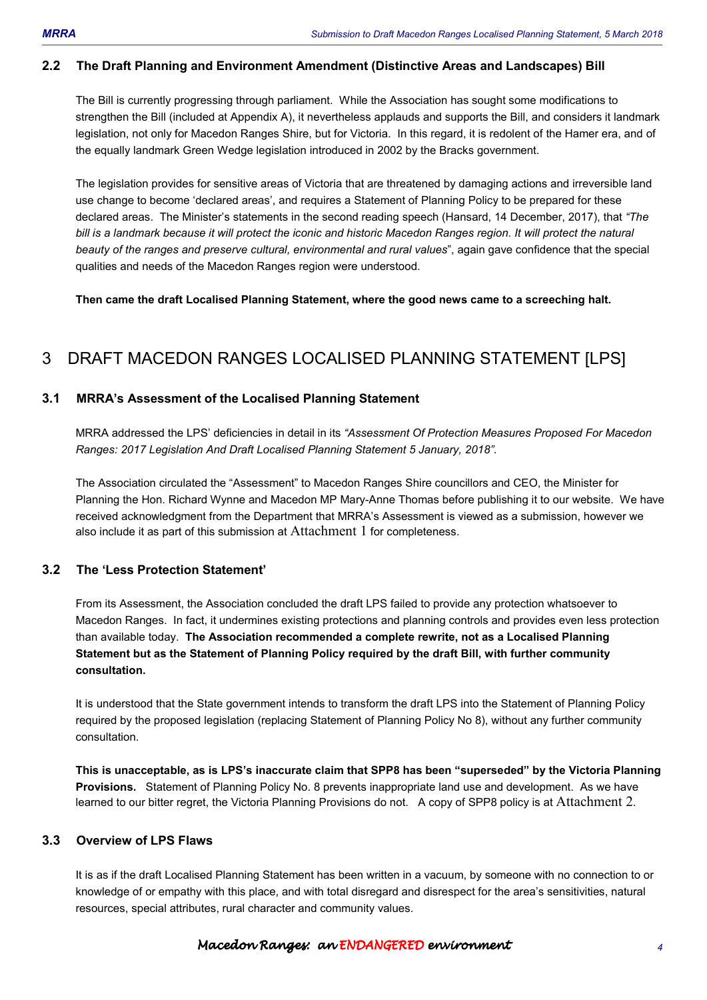### **2.2 The Draft Planning and Environment Amendment (Distinctive Areas and Landscapes) Bill**

The Bill is currently progressing through parliament. While the Association has sought some modifications to strengthen the Bill (included at Appendix A), it nevertheless applauds and supports the Bill, and considers it landmark legislation, not only for Macedon Ranges Shire, but for Victoria. In this regard, it is redolent of the Hamer era, and of the equally landmark Green Wedge legislation introduced in 2002 by the Bracks government.

The legislation provides for sensitive areas of Victoria that are threatened by damaging actions and irreversible land use change to become 'declared areas', and requires a Statement of Planning Policy to be prepared for these declared areas. The Minister's statements in the second reading speech (Hansard, 14 December, 2017), that *"The*  bill is a landmark because it will protect the iconic and historic Macedon Ranges region. It will protect the natural *beauty of the ranges and preserve cultural, environmental and rural values*", again gave confidence that the special qualities and needs of the Macedon Ranges region were understood.

**Then came the draft Localised Planning Statement, where the good news came to a screeching halt.** 

# 3 DRAFT MACEDON RANGES LOCALISED PLANNING STATEMENT [LPS]

#### **3.1 MRRA's Assessment of the Localised Planning Statement**

MRRA addressed the LPS' deficiencies in detail in its *"Assessment Of Protection Measures Proposed For Macedon Ranges: 2017 Legislation And Draft Localised Planning Statement 5 January, 2018"*.

The Association circulated the "Assessment" to Macedon Ranges Shire councillors and CEO, the Minister for Planning the Hon. Richard Wynne and Macedon MP Mary-Anne Thomas before publishing it to our website. We have received acknowledgment from the Department that MRRA's Assessment is viewed as a submission, however we also include it as part of this submission at Attachment 1 for completeness.

#### **3.2 The 'Less Protection Statement'**

From its Assessment, the Association concluded the draft LPS failed to provide any protection whatsoever to Macedon Ranges. In fact, it undermines existing protections and planning controls and provides even less protection than available today. **The Association recommended a complete rewrite, not as a Localised Planning Statement but as the Statement of Planning Policy required by the draft Bill, with further community consultation.** 

It is understood that the State government intends to transform the draft LPS into the Statement of Planning Policy required by the proposed legislation (replacing Statement of Planning Policy No 8), without any further community consultation.

**This is unacceptable, as is LPS's inaccurate claim that SPP8 has been "superseded" by the Victoria Planning Provisions.** Statement of Planning Policy No. 8 prevents inappropriate land use and development. As we have learned to our bitter regret, the Victoria Planning Provisions do not. A copy of SPP8 policy is at Attachment 2.

### **3.3 Overview of LPS Flaws**

It is as if the draft Localised Planning Statement has been written in a vacuum, by someone with no connection to or knowledge of or empathy with this place, and with total disregard and disrespect for the area's sensitivities, natural resources, special attributes, rural character and community values.

#### Macedon Ranges: an ENDANGEREDenvironment environment environment *4*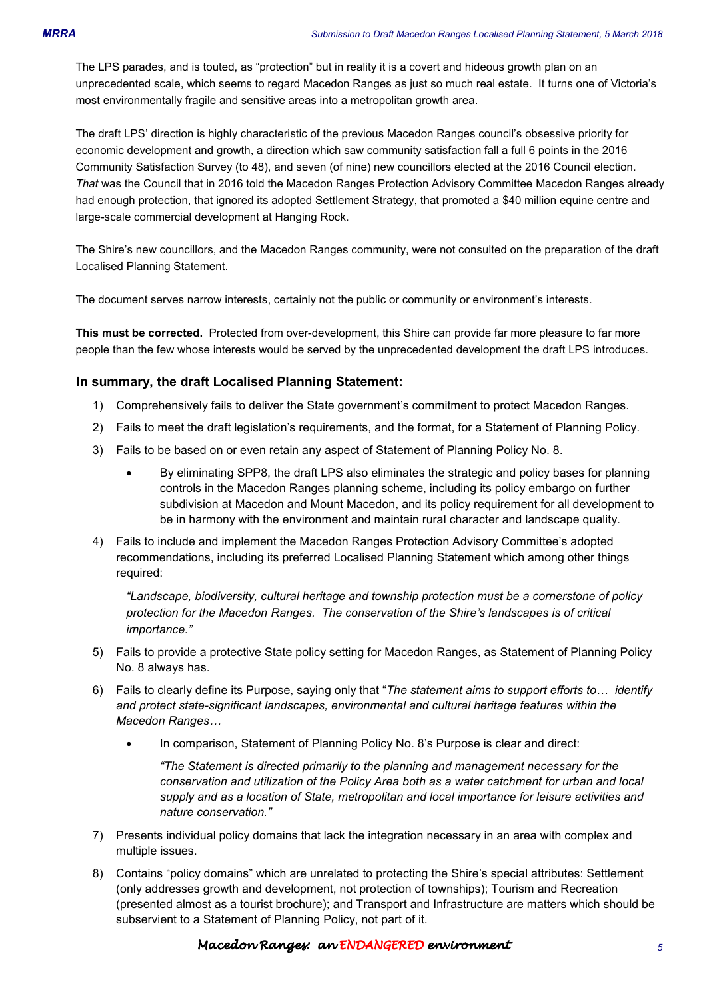The LPS parades, and is touted, as "protection" but in reality it is a covert and hideous growth plan on an unprecedented scale, which seems to regard Macedon Ranges as just so much real estate. It turns one of Victoria's most environmentally fragile and sensitive areas into a metropolitan growth area.

The draft LPS' direction is highly characteristic of the previous Macedon Ranges council's obsessive priority for economic development and growth, a direction which saw community satisfaction fall a full 6 points in the 2016 Community Satisfaction Survey (to 48), and seven (of nine) new councillors elected at the 2016 Council election. *That* was the Council that in 2016 told the Macedon Ranges Protection Advisory Committee Macedon Ranges already had enough protection, that ignored its adopted Settlement Strategy, that promoted a \$40 million equine centre and large-scale commercial development at Hanging Rock.

The Shire's new councillors, and the Macedon Ranges community, were not consulted on the preparation of the draft Localised Planning Statement.

The document serves narrow interests, certainly not the public or community or environment's interests.

**This must be corrected.** Protected from over-development, this Shire can provide far more pleasure to far more people than the few whose interests would be served by the unprecedented development the draft LPS introduces.

### **In summary, the draft Localised Planning Statement:**

- 1) Comprehensively fails to deliver the State government's commitment to protect Macedon Ranges.
- 2) Fails to meet the draft legislation's requirements, and the format, for a Statement of Planning Policy.
- 3) Fails to be based on or even retain any aspect of Statement of Planning Policy No. 8.
	- By eliminating SPP8, the draft LPS also eliminates the strategic and policy bases for planning controls in the Macedon Ranges planning scheme, including its policy embargo on further subdivision at Macedon and Mount Macedon, and its policy requirement for all development to be in harmony with the environment and maintain rural character and landscape quality.
- 4) Fails to include and implement the Macedon Ranges Protection Advisory Committee's adopted recommendations, including its preferred Localised Planning Statement which among other things required:

*"Landscape, biodiversity, cultural heritage and township protection must be a cornerstone of policy protection for the Macedon Ranges. The conservation of the Shire's landscapes is of critical importance."* 

- 5) Fails to provide a protective State policy setting for Macedon Ranges, as Statement of Planning Policy No. 8 always has.
- 6) Fails to clearly define its Purpose, saying only that "*The statement aims to support efforts to... identify and protect state-significant landscapes, environmental and cultural heritage features within the Macedon Ranges...* 
	- In comparison, Statement of Planning Policy No. 8's Purpose is clear and direct:

*"The Statement is directed primarily to the planning and management necessary for the conservation and utilization of the Policy Area both as a water catchment for urban and local supply and as a location of State, metropolitan and local importance for leisure activities and nature conservation."*

- 7) Presents individual policy domains that lack the integration necessary in an area with complex and multiple issues.
- 8) Contains "policy domains" which are unrelated to protecting the Shire's special attributes: Settlement (only addresses growth and development, not protection of townships); Tourism and Recreation (presented almost as a tourist brochure); and Transport and Infrastructure are matters which should be subservient to a Statement of Planning Policy, not part of it.

#### Macedon Ranges: an ENDANGEREDenvironment environment environment *5*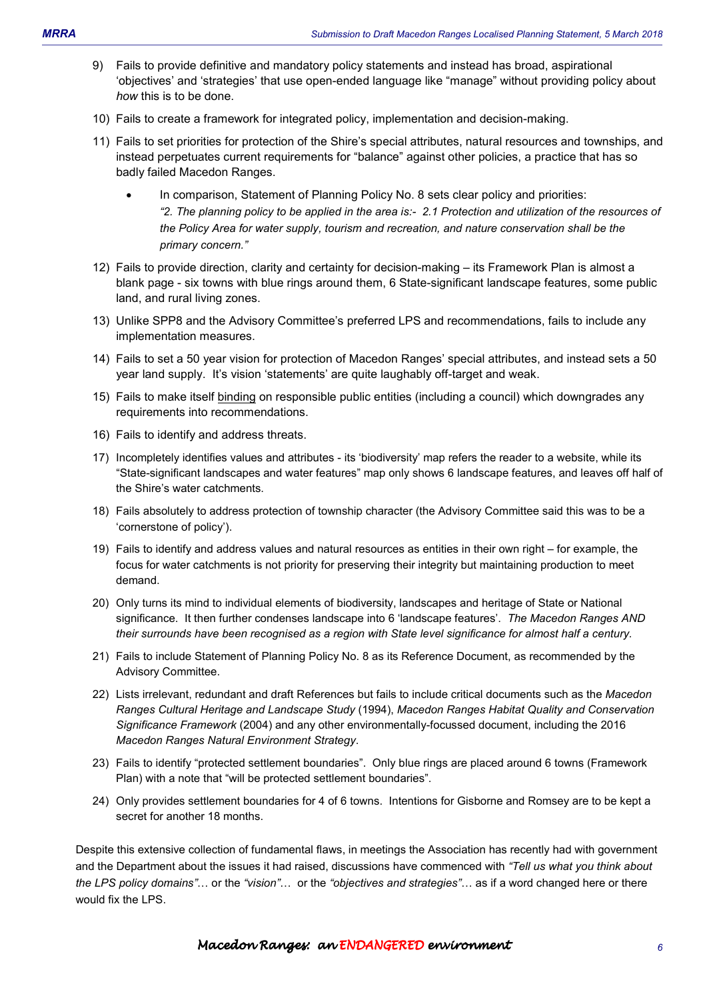- 9) Fails to provide definitive and mandatory policy statements and instead has broad, aspirational 'objectives' and 'strategies' that use open-ended language like "manage" without providing policy about *how* this is to be done.
- 10) Fails to create a framework for integrated policy, implementation and decision-making.
- 11) Fails to set priorities for protection of the Shire's special attributes, natural resources and townships, and instead perpetuates current requirements for "balance" against other policies, a practice that has so badly failed Macedon Ranges.
	- In comparison, Statement of Planning Policy No. 8 sets clear policy and priorities: *"2. The planning policy to be applied in the area is:- 2.1 Protection and utilization of the resources of the Policy Area for water supply, tourism and recreation, and nature conservation shall be the primary concern."*
- 12) Fails to provide direction, clarity and certainty for decision-making its Framework Plan is almost a blank page - six towns with blue rings around them, 6 State-significant landscape features, some public land, and rural living zones.
- 13) Unlike SPP8 and the Advisory Committee's preferred LPS and recommendations, fails to include any implementation measures.
- 14) Fails to set a 50 year vision for protection of Macedon Ranges' special attributes, and instead sets a 50 year land supply. It's vision 'statements' are quite laughably off-target and weak.
- 15) Fails to make itself binding on responsible public entities (including a council) which downgrades any requirements into recommendations.
- 16) Fails to identify and address threats.
- 17) Incompletely identifies values and attributes its 'biodiversity' map refers the reader to a website, while its "State-significant landscapes and water features" map only shows 6 landscape features, and leaves off half of the Shire's water catchments.
- 18) Fails absolutely to address protection of township character (the Advisory Committee said this was to be a 'cornerstone of policy').
- 19) Fails to identify and address values and natural resources as entities in their own right for example, the focus for water catchments is not priority for preserving their integrity but maintaining production to meet demand.
- 20) Only turns its mind to individual elements of biodiversity, landscapes and heritage of State or National significance. It then further condenses landscape into 6 'landscape features'. *The Macedon Ranges AND their surrounds have been recognised as a region with State level significance for almost half a century.*
- 21) Fails to include Statement of Planning Policy No. 8 as its Reference Document, as recommended by the Advisory Committee.
- 22) Lists irrelevant, redundant and draft References but fails to include critical documents such as the *Macedon Ranges Cultural Heritage and Landscape Study* (1994), *Macedon Ranges Habitat Quality and Conservation Significance Framework* (2004) and any other environmentally-focussed document, including the 2016 *Macedon Ranges Natural Environment Strategy*.
- 23) Fails to identify "protected settlement boundaries". Only blue rings are placed around 6 towns (Framework Plan) with a note that "will be protected settlement boundaries".
- 24) Only provides settlement boundaries for 4 of 6 towns. Intentions for Gisborne and Romsey are to be kept a secret for another 18 months.

Despite this extensive collection of fundamental flaws, in meetings the Association has recently had with government and the Department about the issues it had raised, discussions have commenced with *"Tell us what you think about the LPS policy domains"*... or the *"vision"*... or the *"objectives and strategies"*... as if a word changed here or there would fix the LPS.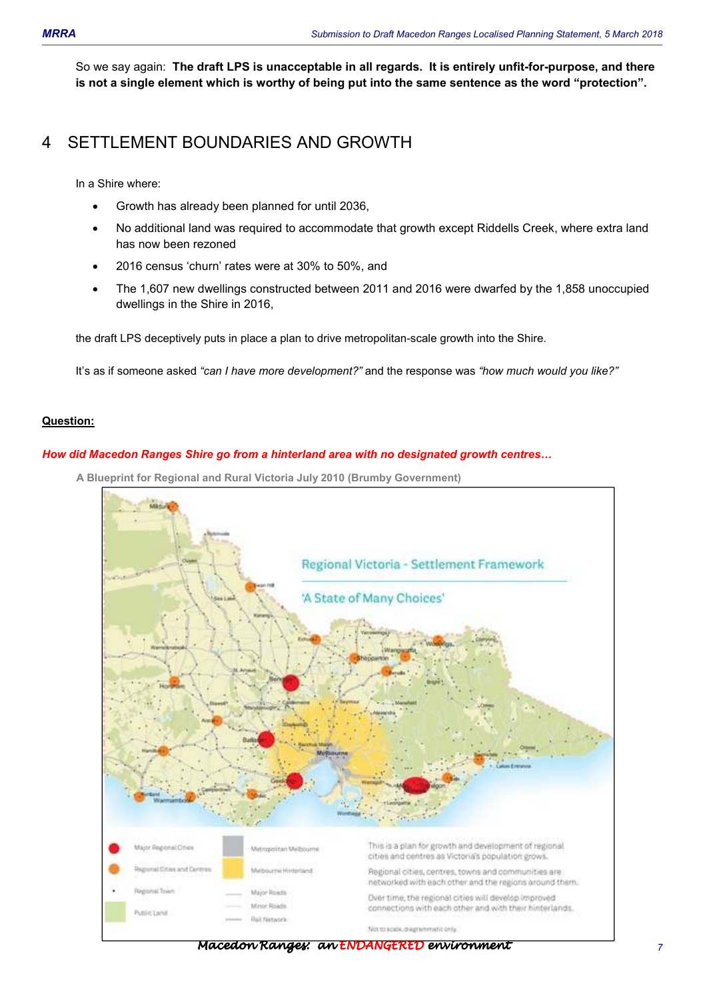So we say again: **The draft LPS is unacceptable in all regards. It is entirely unfit-for-purpose, and there is not a single element which is worthy of being put into the same sentence as the word "protection".** 

# 4 SETTLEMENT BOUNDARIES AND GROWTH

In a Shire where:

- Growth has already been planned for until 2036,
- No additional land was required to accommodate that growth except Riddells Creek, where extra land has now been rezoned
- 2016 census 'churn' rates were at 30% to 50%, and
- The 1,607 new dwellings constructed between 2011 and 2016 were dwarfed by the 1,858 unoccupied dwellings in the Shire in 2016,

the draft LPS deceptively puts in place a plan to drive metropolitan-scale growth into the Shire.

It's as if someone asked *"can I have more development?"* and the response was *"how much would you like?"*

#### **Question:**

#### **How did Macedon Ranges Shire go from a hinterland area with no designated growth centres...**

**A Blueprint for Regional and Rural Victoria July 2010 (Brumby Government)**



Macedon Ranges: an ENDANGERED environment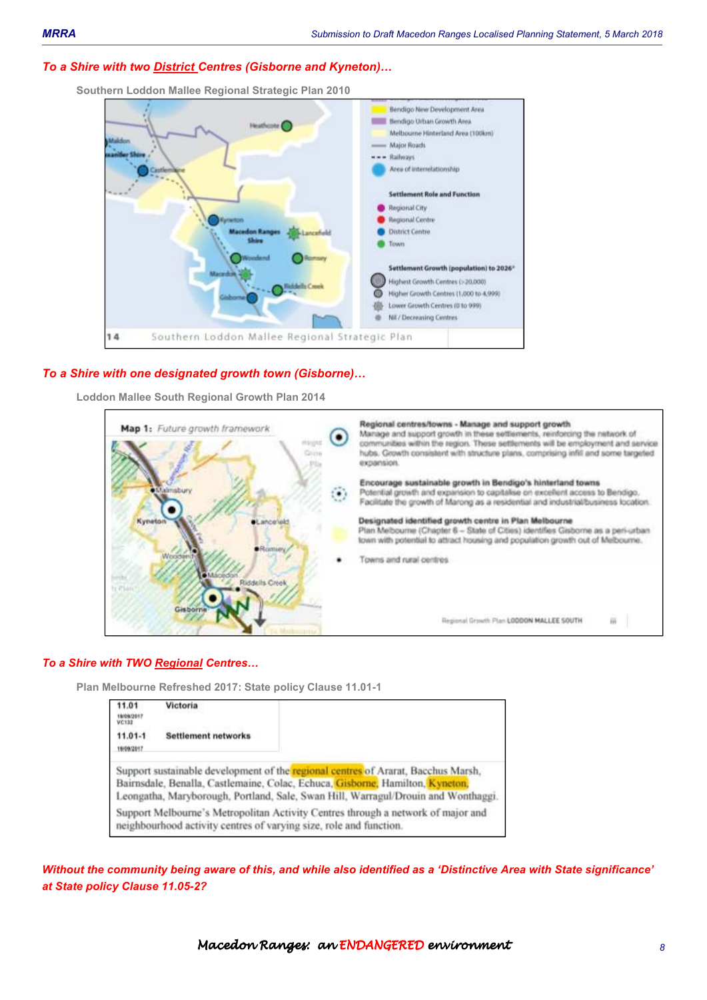#### **To a Shire with two <b>District** Centres (Gisborne and Kyneton)...

**Southern Loddon Mallee Regional Strategic Plan 2010**



#### *To a Shire with one designated growth town (Gisborne)*

**Loddon Mallee South Regional Growth Plan 2014** 



#### *To a Shire with TWO Regional Centres*

**Plan Melbourne Refreshed 2017: State policy Clause 11.01-1** 

| 11.01<br>19/09/2017<br>VC132 | Victoria                                                                                                                                                                                                                                                |
|------------------------------|---------------------------------------------------------------------------------------------------------------------------------------------------------------------------------------------------------------------------------------------------------|
| $11.01 - 1$<br>19/09/2017    | <b>Settlement networks</b>                                                                                                                                                                                                                              |
|                              | Support sustainable development of the regional centres of Ararat, Bacchus Marsh,<br>Bairnsdale, Benalla, Castlemaine, Colac, Echuca, Gisborne, Hamilton, Kyneton,<br>Leongatha, Maryborough, Portland, Sale, Swan Hill, Warragul/Drouin and Wonthaggi. |
|                              | Support Melbourne's Metropolitan Activity Centres through a network of major and<br>neighbourhood activity centres of varying size, role and function.                                                                                                  |

*Without the community being aware of this, and while also identified as a 'Distinctive Area with State significance' at State policy Clause 11.05-2?*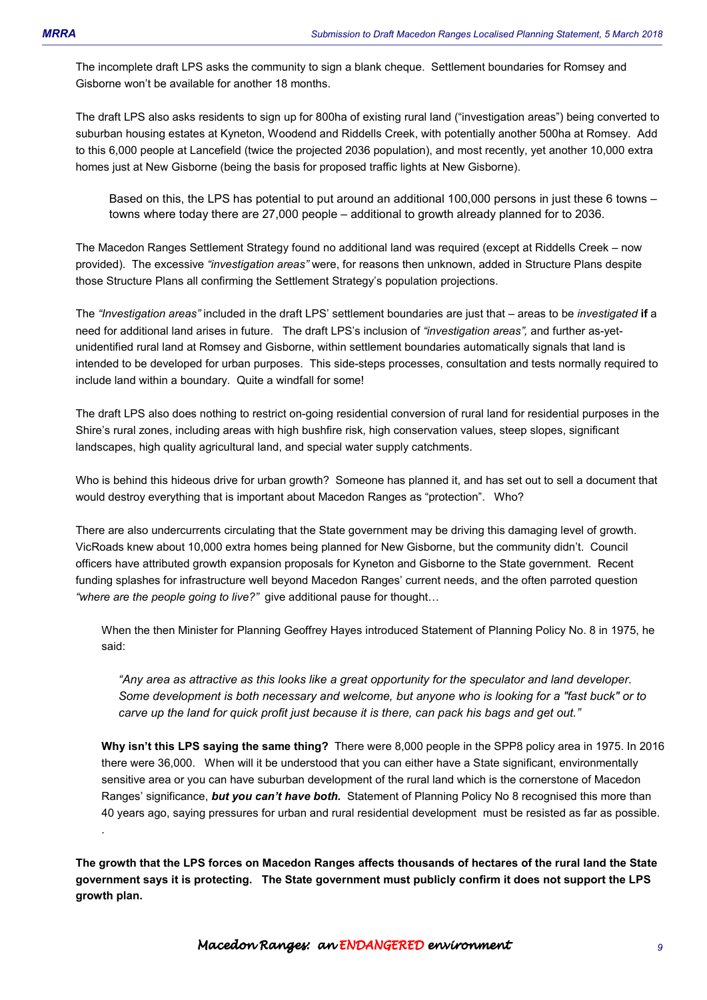.

The incomplete draft LPS asks the community to sign a blank cheque. Settlement boundaries for Romsey and Gisborne won't be available for another 18 months.

The draft LPS also asks residents to sign up for 800ha of existing rural land ("investigation areas") being converted to suburban housing estates at Kyneton, Woodend and Riddells Creek, with potentially another 500ha at Romsey. Add to this 6,000 people at Lancefield (twice the projected 2036 population), and most recently, yet another 10,000 extra homes just at New Gisborne (being the basis for proposed traffic lights at New Gisborne).

Based on this, the LPS has potential to put around an additional 100,000 persons in just these 6 towns – towns where today there are 27,000 people – additional to growth already planned for to 2036.

The Macedon Ranges Settlement Strategy found no additional land was required (except at Riddells Creek – now provided). The excessive *"investigation areas"* were, for reasons then unknown, added in Structure Plans despite those Structure Plans all confirming the Settlement Strategy's population projections.

The *"Investigation areas"* included in the draft LPS' settlement boundaries are just that – areas to be *investigated* **if** a need for additional land arises in future. The draft LPS's inclusion of *"investigation areas",* and further as-yetunidentified rural land at Romsey and Gisborne, within settlement boundaries automatically signals that land is intended to be developed for urban purposes. This side-steps processes, consultation and tests normally required to include land within a boundary. Quite a windfall for some!

The draft LPS also does nothing to restrict on-going residential conversion of rural land for residential purposes in the Shire's rural zones, including areas with high bushfire risk, high conservation values, steep slopes, significant landscapes, high quality agricultural land, and special water supply catchments.

Who is behind this hideous drive for urban growth? Someone has planned it, and has set out to sell a document that would destroy everything that is important about Macedon Ranges as "protection". Who?

There are also undercurrents circulating that the State government may be driving this damaging level of growth. VicRoads knew about 10,000 extra homes being planned for New Gisborne, but the community didn't. Council officers have attributed growth expansion proposals for Kyneton and Gisborne to the State government. Recent funding splashes for infrastructure well beyond Macedon Ranges' current needs, and the often parroted question "where are the people going to live?" give additional pause for thought...

When the then Minister for Planning Geoffrey Hayes introduced Statement of Planning Policy No. 8 in 1975, he said:

*"Any area as attractive as this looks like a great opportunity for the speculator and land developer. Some development is both necessary and welcome, but anyone who is looking for a "fast buck" or to carve up the land for quick profit just because it is there, can pack his bags and get out."* 

**Why isn't this LPS saying the same thing?** There were 8,000 people in the SPP8 policy area in 1975. In 2016 there were 36,000. When will it be understood that you can either have a State significant, environmentally sensitive area or you can have suburban development of the rural land which is the cornerstone of Macedon Ranges' significance, *but you can't have both.* Statement of Planning Policy No 8 recognised this more than 40 years ago, saying pressures for urban and rural residential development must be resisted as far as possible.

**The growth that the LPS forces on Macedon Ranges affects thousands of hectares of the rural land the State government says it is protecting. The State government must publicly confirm it does not support the LPS growth plan.**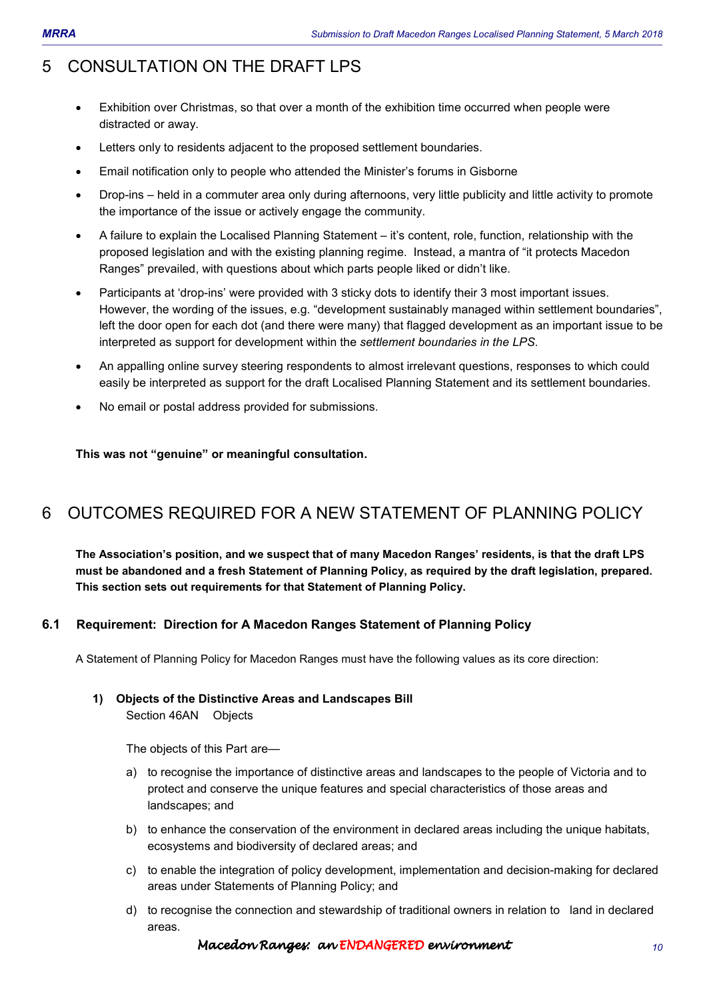# 5 CONSULTATION ON THE DRAFT LPS

- Exhibition over Christmas, so that over a month of the exhibition time occurred when people were distracted or away.
- Letters only to residents adjacent to the proposed settlement boundaries.
- Email notification only to people who attended the Minister's forums in Gisborne
- Drop-ins held in a commuter area only during afternoons, very little publicity and little activity to promote the importance of the issue or actively engage the community.
- A failure to explain the Localised Planning Statement it's content, role, function, relationship with the proposed legislation and with the existing planning regime. Instead, a mantra of "it protects Macedon Ranges" prevailed, with questions about which parts people liked or didn't like.
- Participants at 'drop-ins' were provided with 3 sticky dots to identify their 3 most important issues. However, the wording of the issues, e.g. "development sustainably managed within settlement boundaries", left the door open for each dot (and there were many) that flagged development as an important issue to be interpreted as support for development within the *settlement boundaries in the LPS*.
- An appalling online survey steering respondents to almost irrelevant questions, responses to which could easily be interpreted as support for the draft Localised Planning Statement and its settlement boundaries.
- No email or postal address provided for submissions.

**This was not "genuine" or meaningful consultation.** 

# 6 OUTCOMES REQUIRED FOR A NEW STATEMENT OF PLANNING POLICY

**The Association's position, and we suspect that of many Macedon Ranges' residents, is that the draft LPS must be abandoned and a fresh Statement of Planning Policy, as required by the draft legislation, prepared. This section sets out requirements for that Statement of Planning Policy.** 

## **6.1 Requirement: Direction for A Macedon Ranges Statement of Planning Policy**

A Statement of Planning Policy for Macedon Ranges must have the following values as its core direction:

#### **1) Objects of the Distinctive Areas and Landscapes Bill**  Section 46AN Objects

The objects of this Part are—

- a) to recognise the importance of distinctive areas and landscapes to the people of Victoria and to protect and conserve the unique features and special characteristics of those areas and landscapes; and
- b) to enhance the conservation of the environment in declared areas including the unique habitats, ecosystems and biodiversity of declared areas; and
- c) to enable the integration of policy development, implementation and decision-making for declared areas under Statements of Planning Policy; and
- d) to recognise the connection and stewardship of traditional owners in relation to land in declared areas.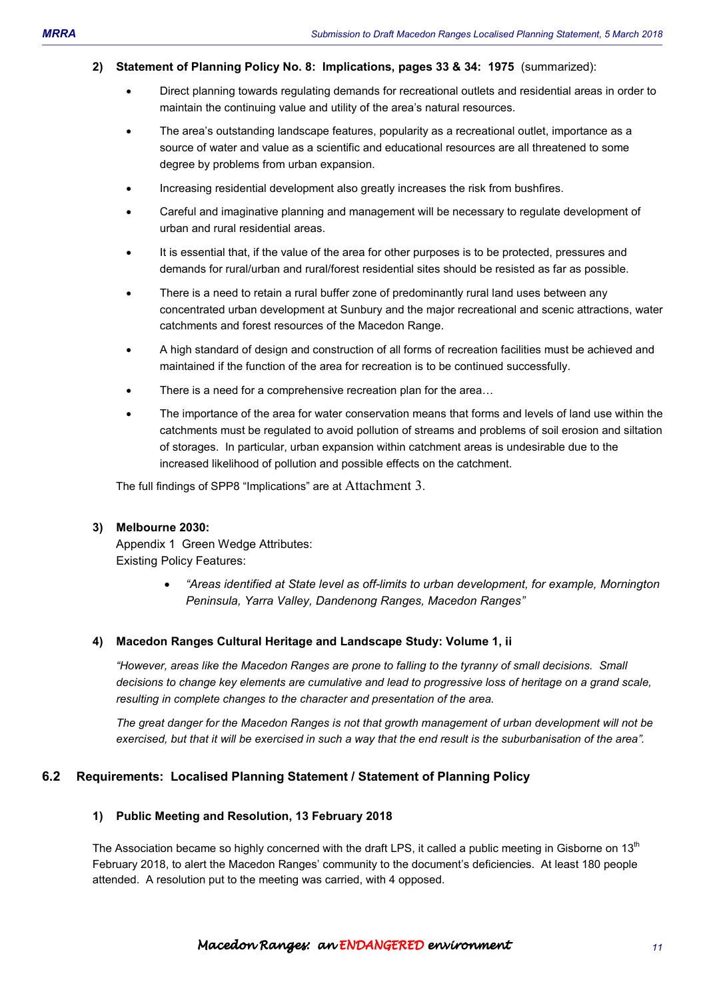#### **2) Statement of Planning Policy No. 8: Implications, pages 33 & 34: 1975** (summarized):

- Direct planning towards regulating demands for recreational outlets and residential areas in order to maintain the continuing value and utility of the area's natural resources.
- The area's outstanding landscape features, popularity as a recreational outlet, importance as a source of water and value as a scientific and educational resources are all threatened to some degree by problems from urban expansion.
- Increasing residential development also greatly increases the risk from bushfires.
- Careful and imaginative planning and management will be necessary to regulate development of urban and rural residential areas.
- It is essential that, if the value of the area for other purposes is to be protected, pressures and demands for rural/urban and rural/forest residential sites should be resisted as far as possible.
- There is a need to retain a rural buffer zone of predominantly rural land uses between any concentrated urban development at Sunbury and the major recreational and scenic attractions, water catchments and forest resources of the Macedon Range.
- A high standard of design and construction of all forms of recreation facilities must be achieved and maintained if the function of the area for recreation is to be continued successfully.
- There is a need for a comprehensive recreation plan for the area...
- The importance of the area for water conservation means that forms and levels of land use within the catchments must be regulated to avoid pollution of streams and problems of soil erosion and siltation of storages. In particular, urban expansion within catchment areas is undesirable due to the increased likelihood of pollution and possible effects on the catchment.

The full findings of SPP8 "Implications" are at Attachment 3.

#### **3) Melbourne 2030:**

Appendix 1 Green Wedge Attributes: Existing Policy Features:

> • *"Areas identified at State level as off-limits to urban development, for example, Mornington Peninsula, Yarra Valley, Dandenong Ranges, Macedon Ranges"*

#### **4) Macedon Ranges Cultural Heritage and Landscape Study: Volume 1, ii**

*"However, areas like the Macedon Ranges are prone to falling to the tyranny of small decisions. Small decisions to change key elements are cumulative and lead to progressive loss of heritage on a grand scale, resulting in complete changes to the character and presentation of the area.* 

*The great danger for the Macedon Ranges is not that growth management of urban development will not be exercised, but that it will be exercised in such a way that the end result is the suburbanisation of the area".* 

#### **6.2 Requirements: Localised Planning Statement / Statement of Planning Policy**

#### **1) Public Meeting and Resolution, 13 February 2018**

The Association became so highly concerned with the draft LPS, it called a public meeting in Gisborne on 13<sup>th</sup> February 2018, to alert the Macedon Ranges' community to the document's deficiencies. At least 180 people attended. A resolution put to the meeting was carried, with 4 opposed.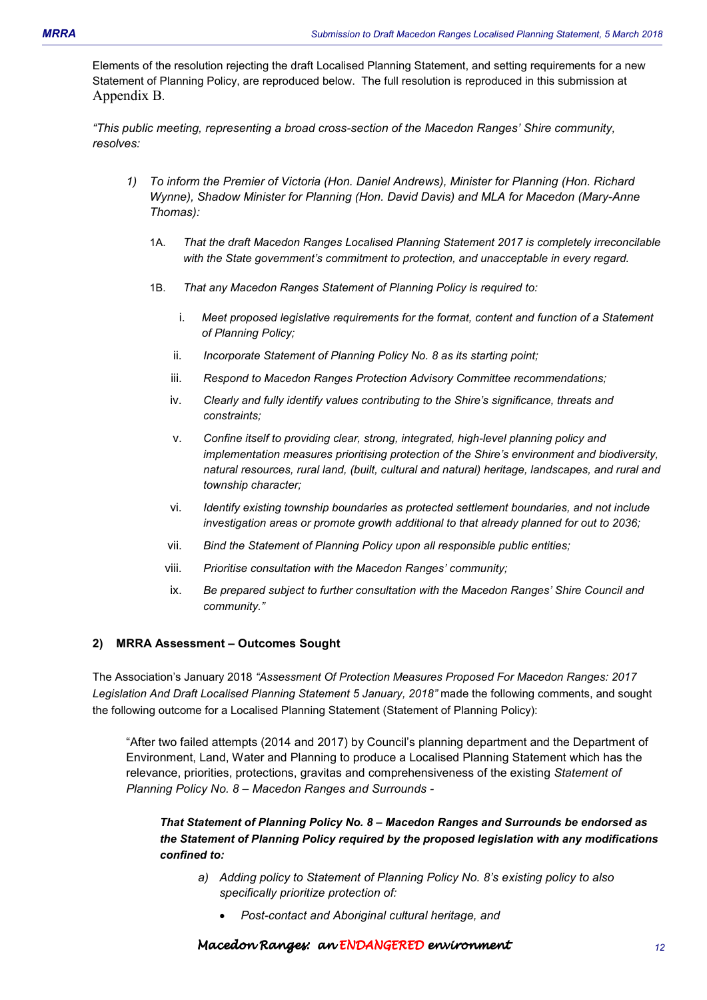Elements of the resolution rejecting the draft Localised Planning Statement, and setting requirements for a new Statement of Planning Policy, are reproduced below. The full resolution is reproduced in this submission at Appendix B.

*"This public meeting, representing a broad cross-section of the Macedon Ranges' Shire community, resolves:* 

- *1) To inform the Premier of Victoria (Hon. Daniel Andrews), Minister for Planning (Hon. Richard Wynne), Shadow Minister for Planning (Hon. David Davis) and MLA for Macedon (Mary-Anne Thomas):* 
	- 1A. *That the draft Macedon Ranges Localised Planning Statement 2017 is completely irreconcilable with the State government's commitment to protection, and unacceptable in every regard.*
	- 1B. *That any Macedon Ranges Statement of Planning Policy is required to:* 
		- i. *Meet proposed legislative requirements for the format, content and function of a Statement of Planning Policy;*
		- ii. *Incorporate Statement of Planning Policy No. 8 as its starting point;*
		- iii. *Respond to Macedon Ranges Protection Advisory Committee recommendations;*
		- iv. *Clearly and fully identify values contributing to the Shire's significance, threats and constraints;*
		- v. *Confine itself to providing clear, strong, integrated, high-level planning policy and implementation measures prioritising protection of the Shire's environment and biodiversity, natural resources, rural land, (built, cultural and natural) heritage, landscapes, and rural and township character;*
		- vi. *Identify existing township boundaries as protected settlement boundaries, and not include investigation areas or promote growth additional to that already planned for out to 2036;*
		- vii. *Bind the Statement of Planning Policy upon all responsible public entities;*
		- viii. *Prioritise consultation with the Macedon Ranges' community;*
		- ix. *Be prepared subject to further consultation with the Macedon Ranges' Shire Council and community."*

#### **2) MRRA Assessment – Outcomes Sought**

The Association's January 2018 *"Assessment Of Protection Measures Proposed For Macedon Ranges: 2017*  Legislation And Draft Localised Planning Statement 5 January, 2018" made the following comments, and sought the following outcome for a Localised Planning Statement (Statement of Planning Policy):

"After two failed attempts (2014 and 2017) by Council's planning department and the Department of Environment, Land, Water and Planning to produce a Localised Planning Statement which has the relevance, priorities, protections, gravitas and comprehensiveness of the existing *Statement of Planning Policy No. 8 – Macedon Ranges and Surrounds -* 

*That Statement of Planning Policy No. 8 – Macedon Ranges and Surrounds be endorsed as the Statement of Planning Policy required by the proposed legislation with any modifications confined to:* 

- *a) Adding policy to Statement of Planning Policy No. 8's existing policy to also specifically prioritize protection of:* 
	- *Post-contact and Aboriginal cultural heritage, and*

#### Macedon Ranges: an ENDANGEREDenvironment environment environment *12*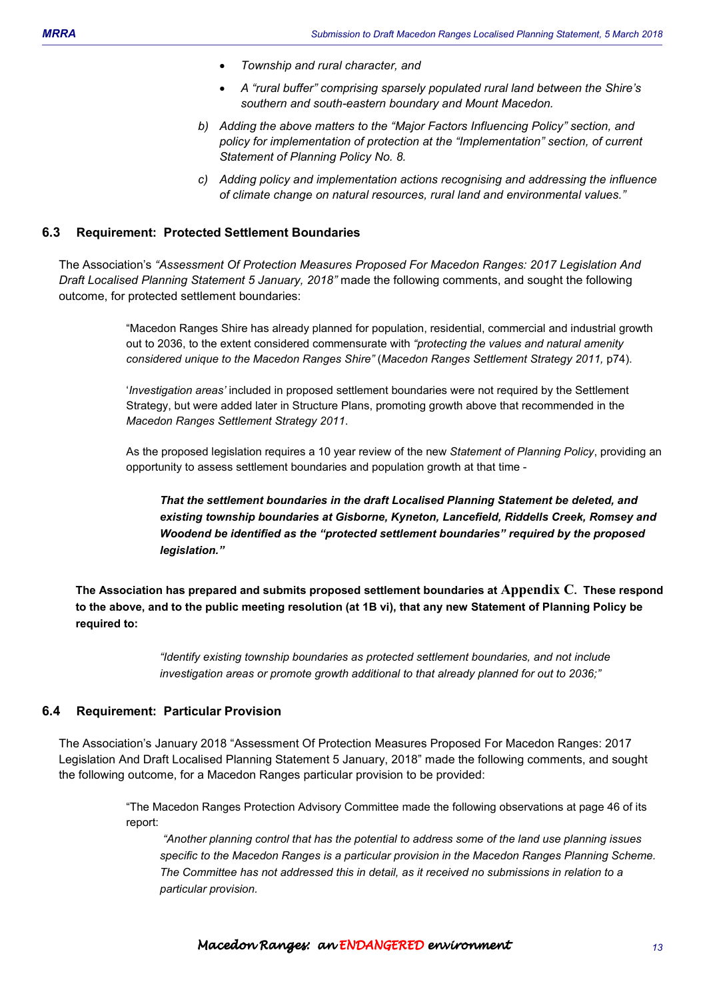- *Township and rural character, and*
- *A "rural buffer" comprising sparsely populated rural land between the Shire's southern and south-eastern boundary and Mount Macedon.*
- *b) Adding the above matters to the "Major Factors Influencing Policy" section, and policy for implementation of protection at the "Implementation" section, of current Statement of Planning Policy No. 8.*
- *c) Adding policy and implementation actions recognising and addressing the influence of climate change on natural resources, rural land and environmental values."*

#### **6.3 Requirement: Protected Settlement Boundaries**

The Association's *"Assessment Of Protection Measures Proposed For Macedon Ranges: 2017 Legislation And Draft Localised Planning Statement 5 January, 2018"* made the following comments, and sought the following outcome, for protected settlement boundaries:

> "Macedon Ranges Shire has already planned for population, residential, commercial and industrial growth out to 2036, to the extent considered commensurate with *"protecting the values and natural amenity considered unique to the Macedon Ranges Shire"* (*Macedon Ranges Settlement Strategy 2011,* p74).

'*Investigation areas'* included in proposed settlement boundaries were not required by the Settlement Strategy, but were added later in Structure Plans, promoting growth above that recommended in the *Macedon Ranges Settlement Strategy 2011*.

As the proposed legislation requires a 10 year review of the new *Statement of Planning Policy*, providing an opportunity to assess settlement boundaries and population growth at that time -

*That the settlement boundaries in the draft Localised Planning Statement be deleted, and existing township boundaries at Gisborne, Kyneton, Lancefield, Riddells Creek, Romsey and Woodend be identified as the "protected settlement boundaries" required by the proposed legislation."* 

**The Association has prepared and submits proposed settlement boundaries at Appendix C. These respond to the above, and to the public meeting resolution (at 1B vi), that any new Statement of Planning Policy be required to:** 

> *"Identify existing township boundaries as protected settlement boundaries, and not include investigation areas or promote growth additional to that already planned for out to 2036;"*

#### **6.4 Requirement: Particular Provision**

The Association's January 2018 "Assessment Of Protection Measures Proposed For Macedon Ranges: 2017 Legislation And Draft Localised Planning Statement 5 January, 2018" made the following comments, and sought the following outcome, for a Macedon Ranges particular provision to be provided:

> "The Macedon Ranges Protection Advisory Committee made the following observations at page 46 of its report:

 *"Another planning control that has the potential to address some of the land use planning issues*  specific to the Macedon Ranges is a particular provision in the Macedon Ranges Planning Scheme. *The Committee has not addressed this in detail, as it received no submissions in relation to a particular provision.*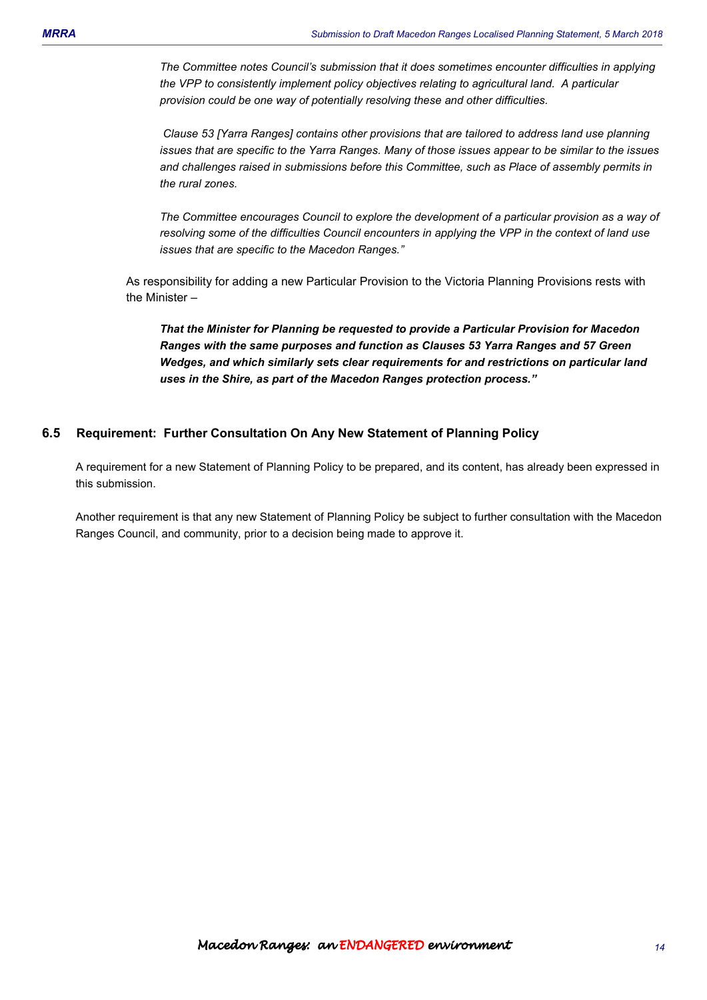*The Committee notes Council's submission that it does sometimes encounter difficulties in applying the VPP to consistently implement policy objectives relating to agricultural land. A particular provision could be one way of potentially resolving these and other difficulties.* 

 *Clause 53 [Yarra Ranges] contains other provisions that are tailored to address land use planning issues that are specific to the Yarra Ranges. Many of those issues appear to be similar to the issues and challenges raised in submissions before this Committee, such as Place of assembly permits in the rural zones.* 

*The Committee encourages Council to explore the development of a particular provision as a way of resolving some of the difficulties Council encounters in applying the VPP in the context of land use issues that are specific to the Macedon Ranges."* 

As responsibility for adding a new Particular Provision to the Victoria Planning Provisions rests with the Minister –

*That the Minister for Planning be requested to provide a Particular Provision for Macedon Ranges with the same purposes and function as Clauses 53 Yarra Ranges and 57 Green Wedges, and which similarly sets clear requirements for and restrictions on particular land uses in the Shire, as part of the Macedon Ranges protection process."* 

## **6.5 Requirement: Further Consultation On Any New Statement of Planning Policy**

A requirement for a new Statement of Planning Policy to be prepared, and its content, has already been expressed in this submission.

Another requirement is that any new Statement of Planning Policy be subject to further consultation with the Macedon Ranges Council, and community, prior to a decision being made to approve it.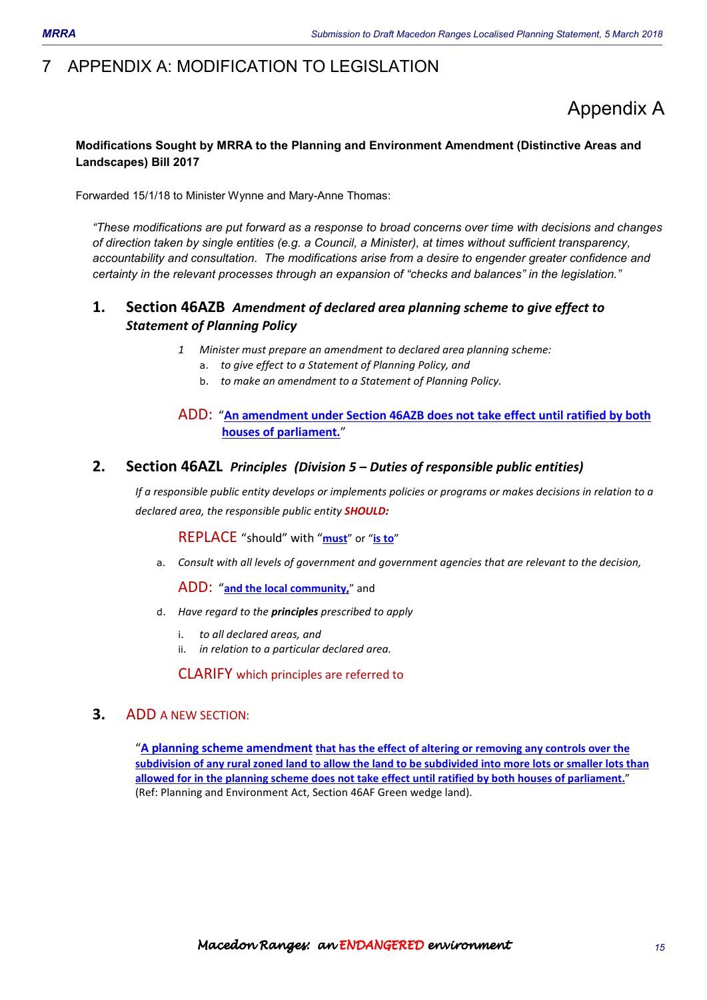# 7 APPENDIX A: MODIFICATION TO LEGISLATION

# Appendix A

## **Modifications Sought by MRRA to the Planning and Environment Amendment (Distinctive Areas and Landscapes) Bill 2017**

Forwarded 15/1/18 to Minister Wynne and Mary-Anne Thomas:

*"These modifications are put forward as a response to broad concerns over time with decisions and changes of direction taken by single entities (e.g. a Council, a Minister), at times without sufficient transparency, accountability and consultation. The modifications arise from a desire to engender greater confidence and certainty in the relevant processes through an expansion of "checks and balances" in the legislation."* 

## **1. Section 46AZB** *Amendment of declared area planning scheme to give effect to Statement of Planning Policy*

- *1 Minister must prepare an amendment to declared area planning scheme:* 
	- a. *to give effect to a Statement of Planning Policy, and*
	- b. *to make an amendment to a Statement of Planning Policy.*

### ADD:"**An amendment under Section 46AZB does not take effect until ratified by both houses of parliament.**"

### **2. Section 46AZL** *Principles (Division 5 – Duties of responsible public entities)*

*If a responsible public entity develops or implements policies or programs or makes decisions in relation to a declared area, the responsible public entity SHOULD:* 

REPLACE "should" with "**must**" or "**is to**"

a. *Consult with all levels of government and government agencies that are relevant to the decision,* 

ADD:"**and the local community,**" and

- d. *Have regard to the principles prescribed to apply* 
	- i. *to all declared areas, and*
	- ii. *in relation to a particular declared area.*

CLARIFY which principles are referred to

## **3.** ADD A NEW SECTION:

"**A planning scheme amendment that has the effect of altering or removing any controls over the subdivision of any rural zoned land to allow the land to be subdivided into more lots or smaller lots than allowed for in the planning scheme does not take effect until ratified by both houses of parliament.**" (Ref: Planning and Environment Act, Section 46AF Green wedge land).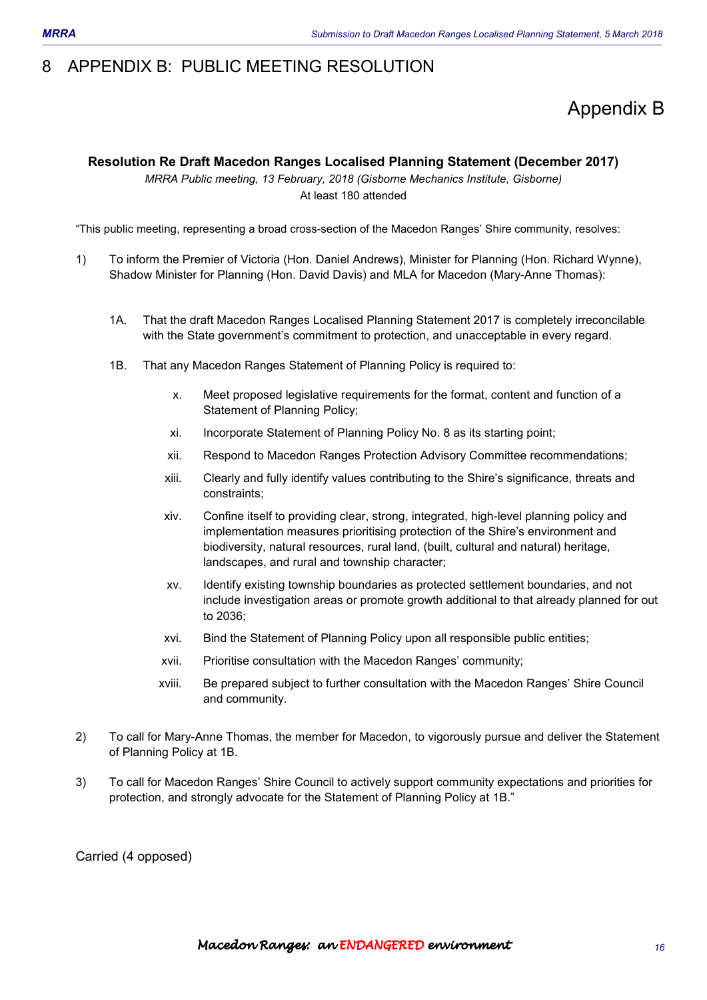# 8 APPENDIX B: PUBLIC MEETING RESOLUTION

# Appendix B

## **Resolution Re Draft Macedon Ranges Localised Planning Statement (December 2017)**

*MRRA Public meeting, 13 February, 2018 (Gisborne Mechanics Institute, Gisborne)*  At least 180 attended

"This public meeting, representing a broad cross-section of the Macedon Ranges' Shire community, resolves:

- 1) To inform the Premier of Victoria (Hon. Daniel Andrews), Minister for Planning (Hon. Richard Wynne), Shadow Minister for Planning (Hon. David Davis) and MLA for Macedon (Mary-Anne Thomas):
	- 1A. That the draft Macedon Ranges Localised Planning Statement 2017 is completely irreconcilable with the State government's commitment to protection, and unacceptable in every regard.
	- 1B. That any Macedon Ranges Statement of Planning Policy is required to:
		- x. Meet proposed legislative requirements for the format, content and function of a Statement of Planning Policy;
		- xi. Incorporate Statement of Planning Policy No. 8 as its starting point;
		- xii. Respond to Macedon Ranges Protection Advisory Committee recommendations;
		- xiii. Clearly and fully identify values contributing to the Shire's significance, threats and constraints;
		- xiv. Confine itself to providing clear, strong, integrated, high-level planning policy and implementation measures prioritising protection of the Shire's environment and biodiversity, natural resources, rural land, (built, cultural and natural) heritage, landscapes, and rural and township character;
		- xv. Identify existing township boundaries as protected settlement boundaries, and not include investigation areas or promote growth additional to that already planned for out to 2036;
		- xvi. Bind the Statement of Planning Policy upon all responsible public entities;
		- xvii. Prioritise consultation with the Macedon Ranges' community;
		- xviii. Be prepared subject to further consultation with the Macedon Ranges' Shire Council and community.
- 2) To call for Mary-Anne Thomas, the member for Macedon, to vigorously pursue and deliver the Statement of Planning Policy at 1B.
- 3) To call for Macedon Ranges' Shire Council to actively support community expectations and priorities for protection, and strongly advocate for the Statement of Planning Policy at 1B."

Carried (4 opposed)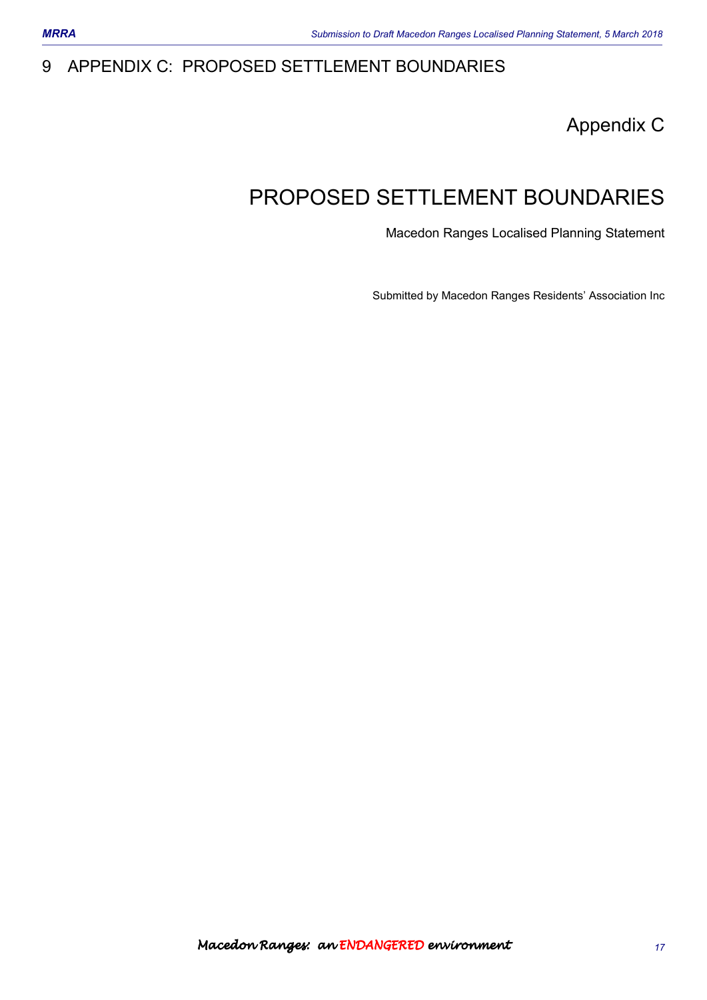# 9 APPENDIX C: PROPOSED SETTLEMENT BOUNDARIES

Appendix C

# PROPOSED SETTLEMENT BOUNDARIES

Macedon Ranges Localised Planning Statement

Submitted by Macedon Ranges Residents' Association Inc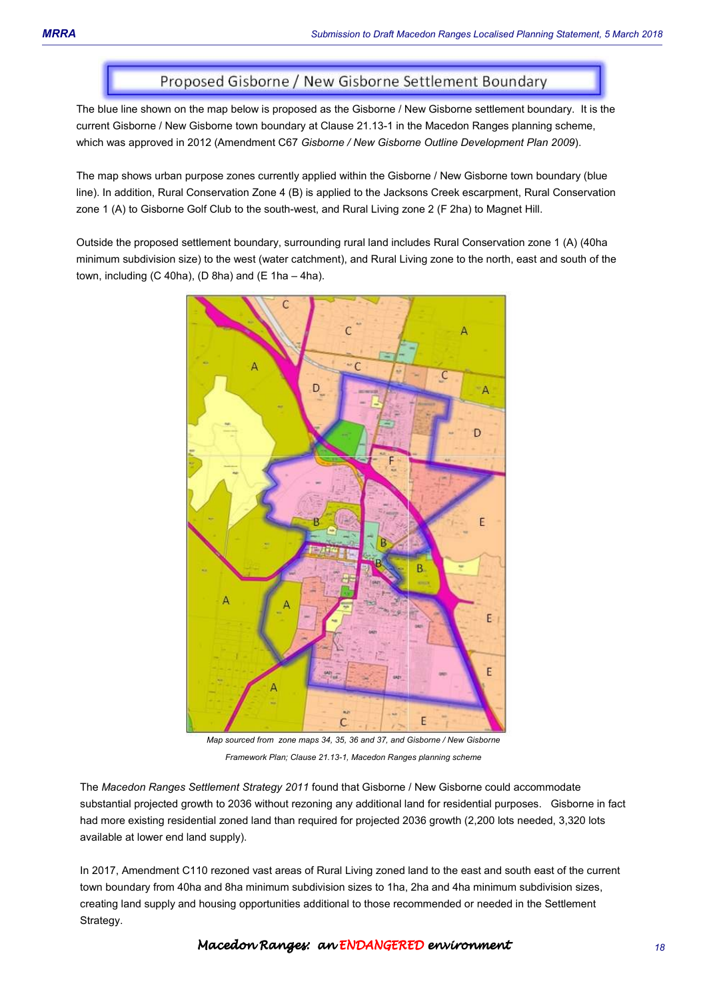# Proposed Gisborne / New Gisborne Settlement Boundary

The blue line shown on the map below is proposed as the Gisborne / New Gisborne settlement boundary. It is the current Gisborne / New Gisborne town boundary at Clause 21.13-1 in the Macedon Ranges planning scheme, which was approved in 2012 (Amendment C67 *Gisborne / New Gisborne Outline Development Plan 2009*).

The map shows urban purpose zones currently applied within the Gisborne / New Gisborne town boundary (blue line). In addition, Rural Conservation Zone 4 (B) is applied to the Jacksons Creek escarpment, Rural Conservation zone 1 (A) to Gisborne Golf Club to the south-west, and Rural Living zone 2 (F 2ha) to Magnet Hill.

Outside the proposed settlement boundary, surrounding rural land includes Rural Conservation zone 1 (A) (40ha minimum subdivision size) to the west (water catchment), and Rural Living zone to the north, east and south of the town, including  $(C 40ha)$ ,  $(D 8ha)$  and  $(E 1ha - 4ha)$ .



*Map sourced from zone maps 34, 35, 36 and 37, and Gisborne / New Gisborne Framework Plan; Clause 21.13-1, Macedon Ranges planning scheme* 

The *Macedon Ranges Settlement Strategy 2011* found that Gisborne / New Gisborne could accommodate substantial projected growth to 2036 without rezoning any additional land for residential purposes. Gisborne in fact had more existing residential zoned land than required for projected 2036 growth (2,200 lots needed, 3,320 lots available at lower end land supply).

In 2017, Amendment C110 rezoned vast areas of Rural Living zoned land to the east and south east of the current town boundary from 40ha and 8ha minimum subdivision sizes to 1ha, 2ha and 4ha minimum subdivision sizes, creating land supply and housing opportunities additional to those recommended or needed in the Settlement Strategy.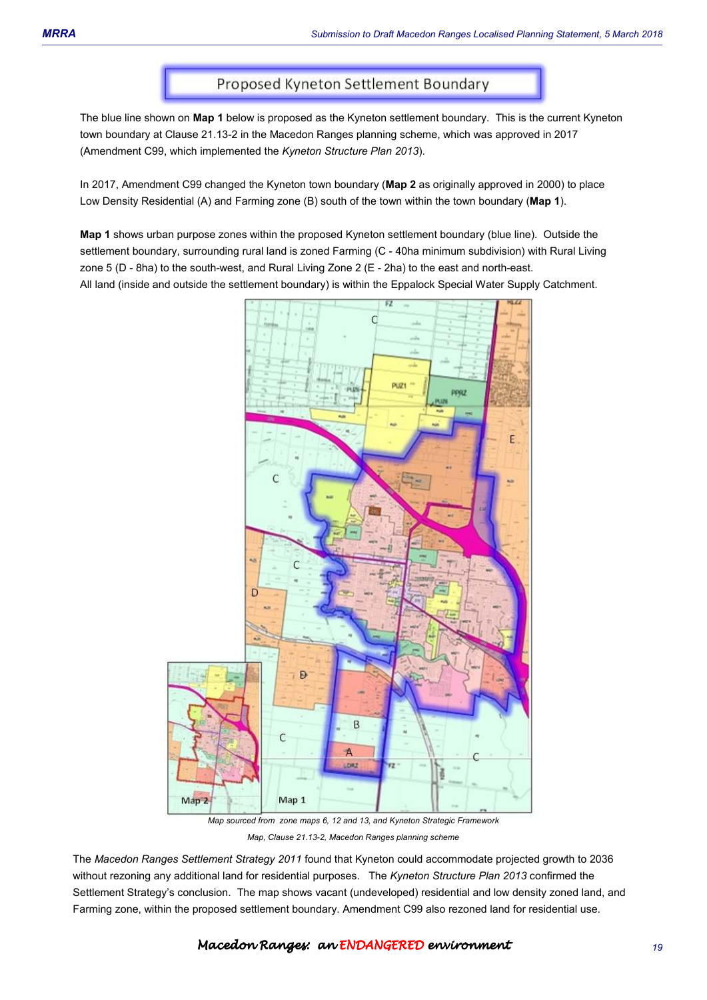# Proposed Kyneton Settlement Boundary

The blue line shown on **Map 1** below is proposed as the Kyneton settlement boundary. This is the current Kyneton town boundary at Clause 21.13-2 in the Macedon Ranges planning scheme, which was approved in 2017 (Amendment C99, which implemented the *Kyneton Structure Plan 2013*).

In 2017, Amendment C99 changed the Kyneton town boundary (**Map 2** as originally approved in 2000) to place Low Density Residential (A) and Farming zone (B) south of the town within the town boundary (**Map 1**).

**Map 1** shows urban purpose zones within the proposed Kyneton settlement boundary (blue line). Outside the settlement boundary, surrounding rural land is zoned Farming (C - 40ha minimum subdivision) with Rural Living zone 5 (D - 8ha) to the south-west, and Rural Living Zone 2 (E - 2ha) to the east and north-east. All land (inside and outside the settlement boundary) is within the Eppalock Special Water Supply Catchment.



*Map, Clause 21.13-2, Macedon Ranges planning scheme*

The *Macedon Ranges Settlement Strategy 2011* found that Kyneton could accommodate projected growth to 2036 without rezoning any additional land for residential purposes. The *Kyneton Structure Plan 2013* confirmed the Settlement Strategy's conclusion. The map shows vacant (undeveloped) residential and low density zoned land, and Farming zone, within the proposed settlement boundary. Amendment C99 also rezoned land for residential use.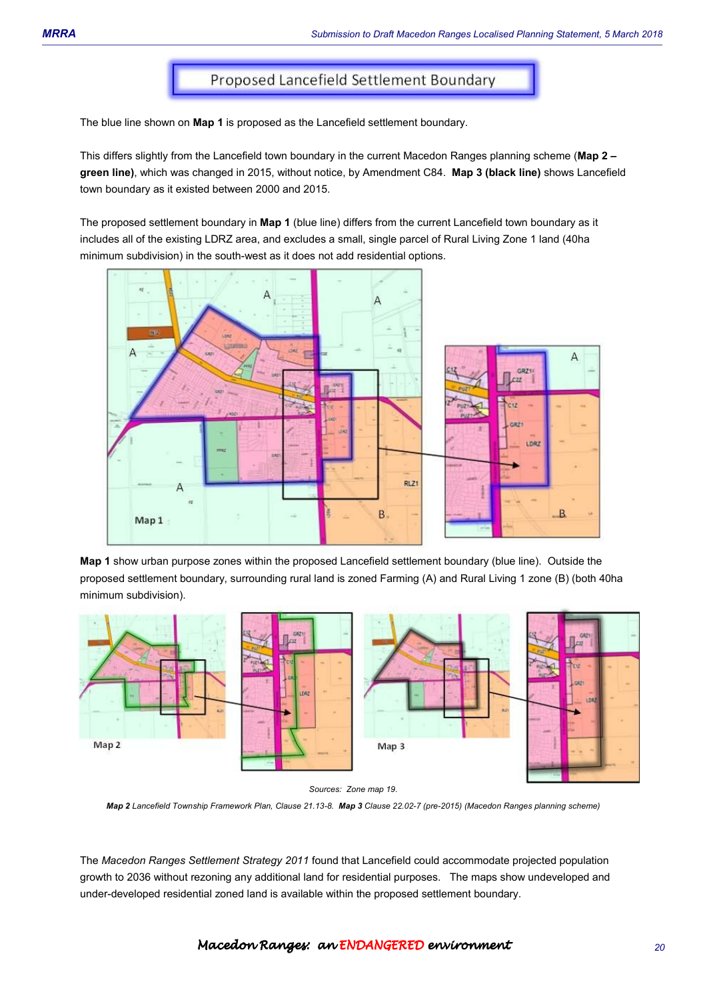# Proposed Lancefield Settlement Boundary

The blue line shown on **Map 1** is proposed as the Lancefield settlement boundary.

This differs slightly from the Lancefield town boundary in the current Macedon Ranges planning scheme (**Map 2 – green line)**, which was changed in 2015, without notice, by Amendment C84. **Map 3 (black line)** shows Lancefield town boundary as it existed between 2000 and 2015.

The proposed settlement boundary in **Map 1** (blue line) differs from the current Lancefield town boundary as it includes all of the existing LDRZ area, and excludes a small, single parcel of Rural Living Zone 1 land (40ha minimum subdivision) in the south-west as it does not add residential options.



**Map 1** show urban purpose zones within the proposed Lancefield settlement boundary (blue line). Outside the proposed settlement boundary, surrounding rural land is zoned Farming (A) and Rural Living 1 zone (B) (both 40ha minimum subdivision).



*Sources: Zone map 19.* 

*Map 2 Lancefield Township Framework Plan, Clause 21.13-8. Map 3 Clause 22.02-7 (pre-2015) (Macedon Ranges planning scheme)* 

The *Macedon Ranges Settlement Strategy 2011* found that Lancefield could accommodate projected population growth to 2036 without rezoning any additional land for residential purposes. The maps show undeveloped and under-developed residential zoned land is available within the proposed settlement boundary.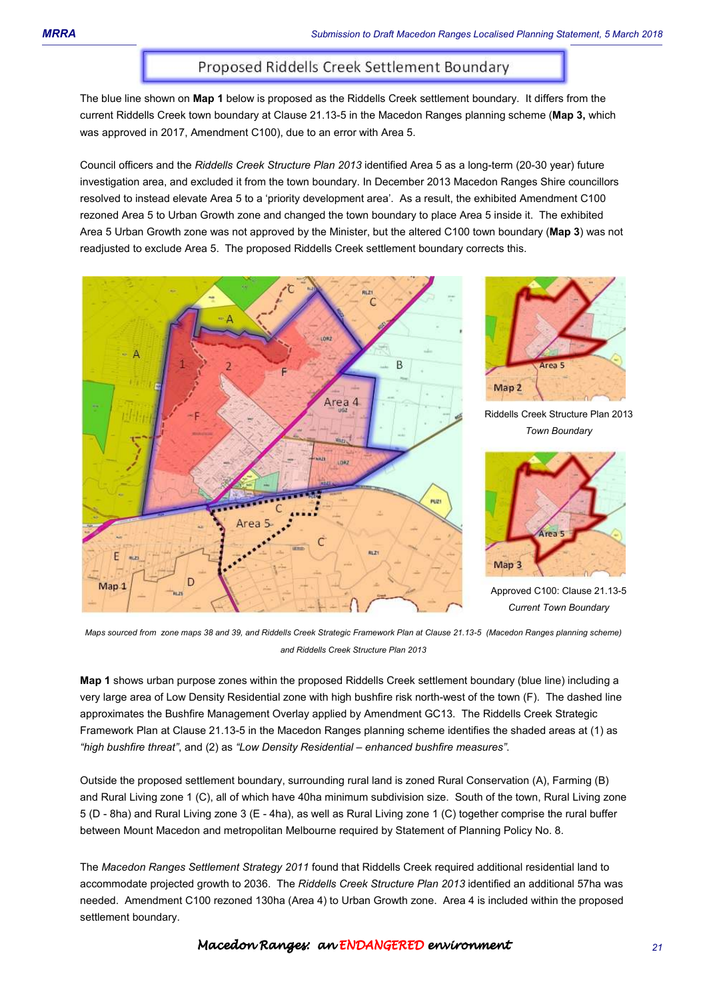# Proposed Riddells Creek Settlement Boundary

The blue line shown on **Map 1** below is proposed as the Riddells Creek settlement boundary. It differs from the current Riddells Creek town boundary at Clause 21.13-5 in the Macedon Ranges planning scheme (**Map 3,** which was approved in 2017, Amendment C100), due to an error with Area 5.

Council officers and the *Riddells Creek Structure Plan 2013* identified Area 5 as a long-term (20-30 year) future investigation area, and excluded it from the town boundary. In December 2013 Macedon Ranges Shire councillors resolved to instead elevate Area 5 to a 'priority development area'. As a result, the exhibited Amendment C100 rezoned Area 5 to Urban Growth zone and changed the town boundary to place Area 5 inside it. The exhibited Area 5 Urban Growth zone was not approved by the Minister, but the altered C100 town boundary (**Map 3**) was not readjusted to exclude Area 5. The proposed Riddells Creek settlement boundary corrects this.





Riddells Creek Structure Plan 2013 *Town Boundary* 



Approved C100: Clause 21.13-5 *Current Town Boundary* 

*Maps sourced from zone maps 38 and 39, and Riddells Creek Strategic Framework Plan at Clause 21.13-5 (Macedon Ranges planning scheme) and Riddells Creek Structure Plan 2013* 

**Map 1** shows urban purpose zones within the proposed Riddells Creek settlement boundary (blue line) including a very large area of Low Density Residential zone with high bushfire risk north-west of the town (F). The dashed line approximates the Bushfire Management Overlay applied by Amendment GC13. The Riddells Creek Strategic Framework Plan at Clause 21.13-5 in the Macedon Ranges planning scheme identifies the shaded areas at (1) as *"high bushfire threat"*, and (2) as *"Low Density Residential – enhanced bushfire measures"*.

Outside the proposed settlement boundary, surrounding rural land is zoned Rural Conservation (A), Farming (B) and Rural Living zone 1 (C), all of which have 40ha minimum subdivision size. South of the town, Rural Living zone 5 (D - 8ha) and Rural Living zone 3 (E - 4ha), as well as Rural Living zone 1 (C) together comprise the rural buffer between Mount Macedon and metropolitan Melbourne required by Statement of Planning Policy No. 8.

The *Macedon Ranges Settlement Strategy 2011* found that Riddells Creek required additional residential land to accommodate projected growth to 2036. The *Riddells Creek Structure Plan 2013* identified an additional 57ha was needed. Amendment C100 rezoned 130ha (Area 4) to Urban Growth zone. Area 4 is included within the proposed settlement boundary.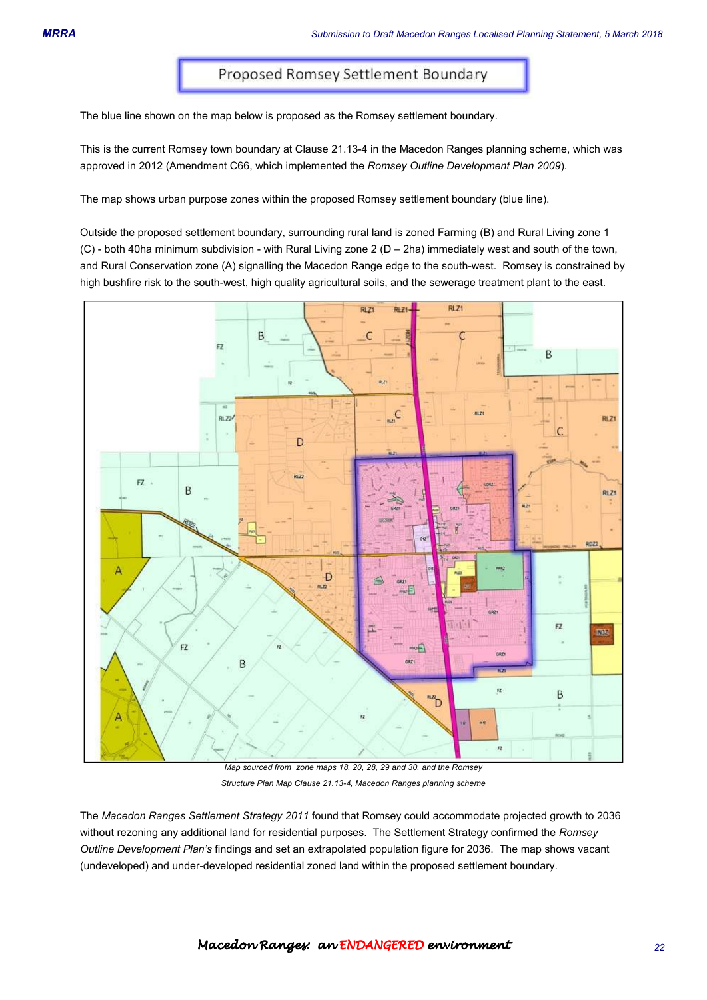The blue line shown on the map below is proposed as the Romsey settlement boundary.

This is the current Romsey town boundary at Clause 21.13-4 in the Macedon Ranges planning scheme, which was approved in 2012 (Amendment C66, which implemented the *Romsey Outline Development Plan 2009*).

The map shows urban purpose zones within the proposed Romsey settlement boundary (blue line).

Outside the proposed settlement boundary, surrounding rural land is zoned Farming (B) and Rural Living zone 1 (C) - both 40ha minimum subdivision - with Rural Living zone 2 (D – 2ha) immediately west and south of the town, and Rural Conservation zone (A) signalling the Macedon Range edge to the south-west. Romsey is constrained by high bushfire risk to the south-west, high quality agricultural soils, and the sewerage treatment plant to the east.



*Map sourced from zone maps 18, 20, 28, 29 and 30, and the Romsey Structure Plan Map Clause 21.13-4, Macedon Ranges planning scheme* 

The *Macedon Ranges Settlement Strategy 2011* found that Romsey could accommodate projected growth to 2036 without rezoning any additional land for residential purposes. The Settlement Strategy confirmed the *Romsey Outline Development Plan's* findings and set an extrapolated population figure for 2036. The map shows vacant (undeveloped) and under-developed residential zoned land within the proposed settlement boundary.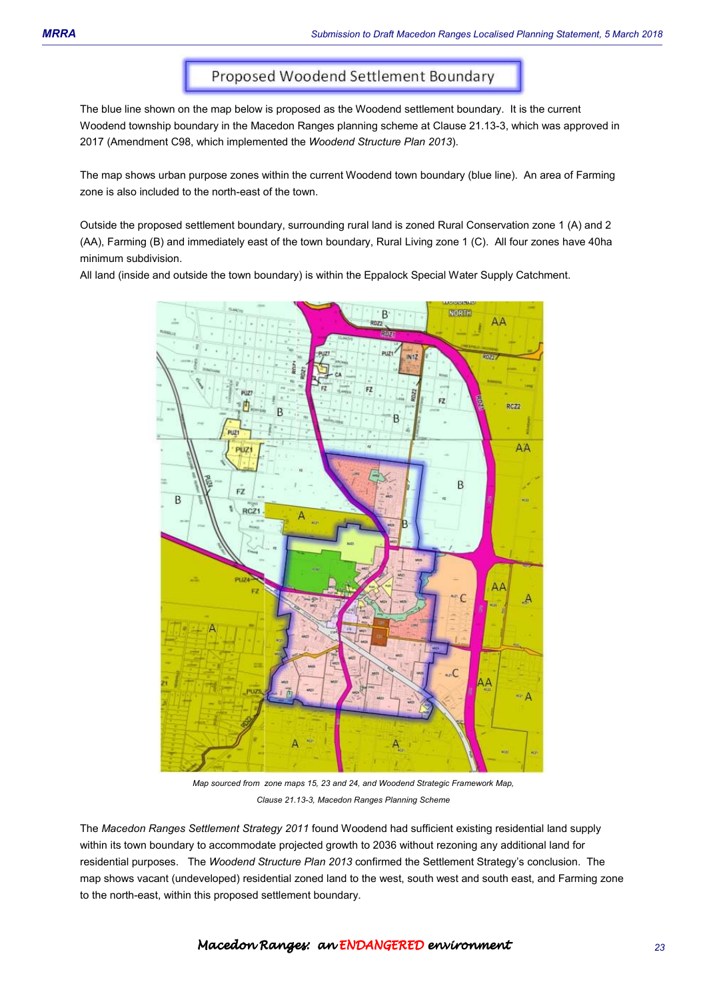# Proposed Woodend Settlement Boundary

The blue line shown on the map below is proposed as the Woodend settlement boundary. It is the current Woodend township boundary in the Macedon Ranges planning scheme at Clause 21.13-3, which was approved in 2017 (Amendment C98, which implemented the *Woodend Structure Plan 2013*).

The map shows urban purpose zones within the current Woodend town boundary (blue line). An area of Farming zone is also included to the north-east of the town.

Outside the proposed settlement boundary, surrounding rural land is zoned Rural Conservation zone 1 (A) and 2 (AA), Farming (B) and immediately east of the town boundary, Rural Living zone 1 (C). All four zones have 40ha minimum subdivision.

All land (inside and outside the town boundary) is within the Eppalock Special Water Supply Catchment.



*Map sourced from zone maps 15, 23 and 24, and Woodend Strategic Framework Map, Clause 21.13-3, Macedon Ranges Planning Scheme*

The *Macedon Ranges Settlement Strategy 2011* found Woodend had sufficient existing residential land supply within its town boundary to accommodate projected growth to 2036 without rezoning any additional land for residential purposes. The *Woodend Structure Plan 2013* confirmed the Settlement Strategy's conclusion. The map shows vacant (undeveloped) residential zoned land to the west, south west and south east, and Farming zone to the north-east, within this proposed settlement boundary.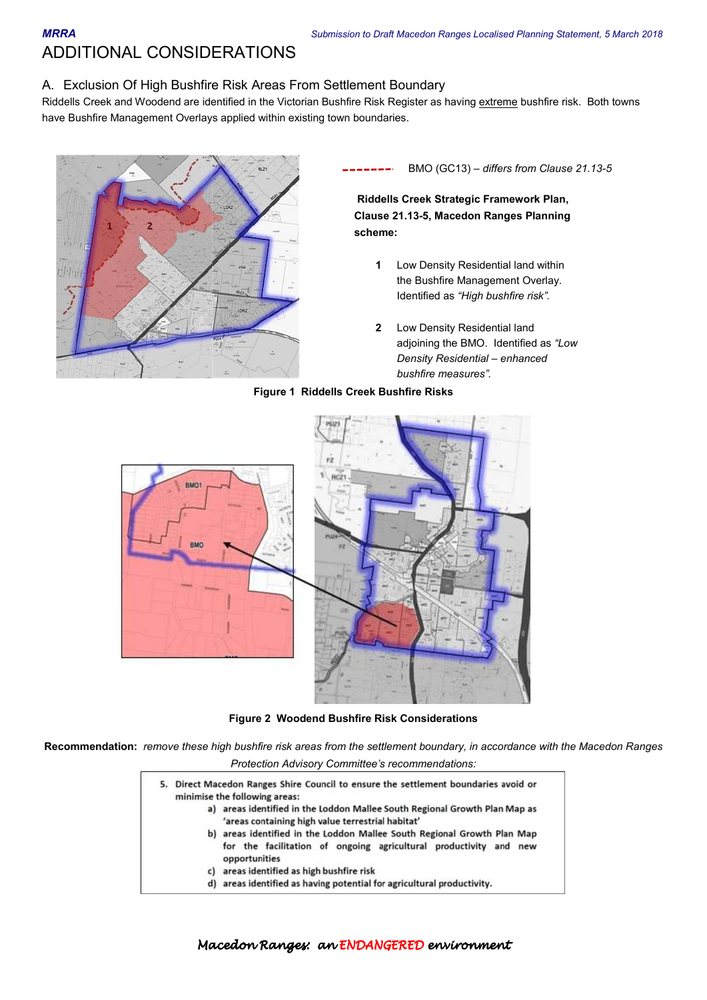ADDITIONAL CONSIDERATIONS

### A. Exclusion Of High Bushfire Risk Areas From Settlement Boundary

Riddells Creek and Woodend are identified in the Victorian Bushfire Risk Register as having extreme bushfire risk. Both towns have Bushfire Management Overlays applied within existing town boundaries.



BMO (GC13) – *differs from Clause 21.13-5*

**Riddells Creek Strategic Framework Plan, Clause 21.13-5, Macedon Ranges Planning scheme:** 

- **1** Low Density Residential land within the Bushfire Management Overlay. Identified as *"High bushfire risk".*
- **2** Low Density Residential land adjoining the BMO. Identified as *"Low Density Residential – enhanced bushfire measures".*



#### **Figure 1 Riddells Creek Bushfire Risks**

**Figure 2 Woodend Bushfire Risk Considerations** 

**Recommendation:** *remove these high bushfire risk areas from the settlement boundary, in accordance with the Macedon Ranges Protection Advisory Committee's recommendations:* 

| 5. | Direct Macedon Ranges Shire Council to ensure the settlement boundaries avoid or<br>minimise the following areas:                                             |
|----|---------------------------------------------------------------------------------------------------------------------------------------------------------------|
|    | a) areas identified in the Loddon Mallee South Regional Growth Plan Map as<br>'areas containing high value terrestrial habitat'                               |
|    | b) areas identified in the Loddon Mallee South Regional Growth Plan Map<br>for the facilitation of ongoing agricultural productivity and new<br>opportunities |
|    | c) areas identified as high bushfire risk                                                                                                                     |
|    | d) areas identified as having potential for agricultural productivity.                                                                                        |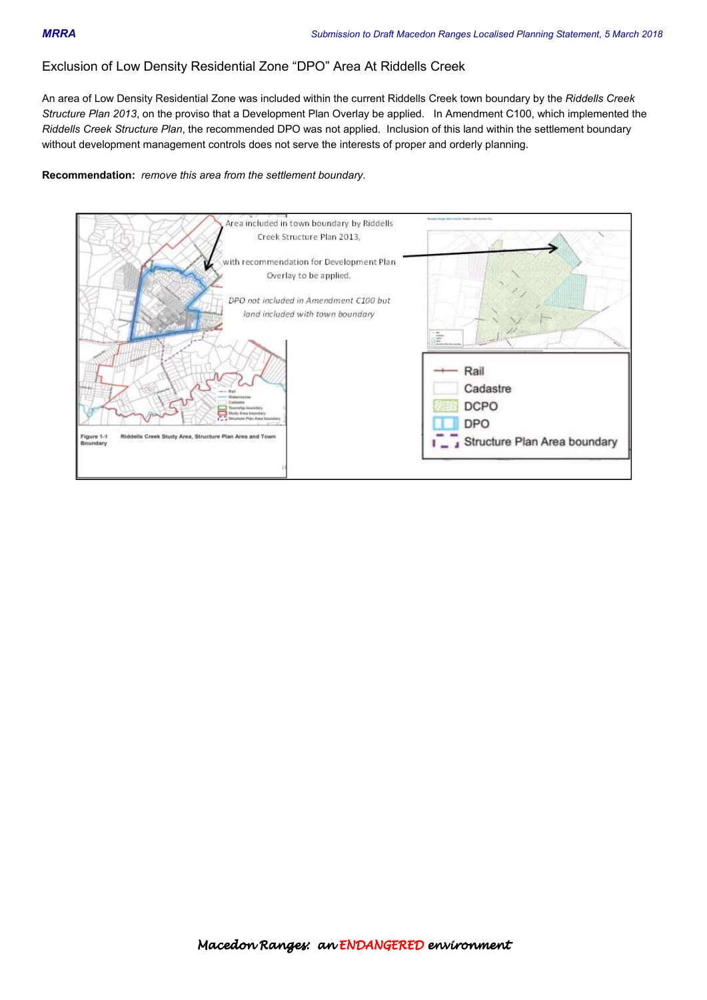## Exclusion of Low Density Residential Zone "DPO" Area At Riddells Creek

An area of Low Density Residential Zone was included within the current Riddells Creek town boundary by the *Riddells Creek Structure Plan 2013*, on the proviso that a Development Plan Overlay be applied. In Amendment C100, which implemented the *Riddells Creek Structure Plan*, the recommended DPO was not applied. Inclusion of this land within the settlement boundary without development management controls does not serve the interests of proper and orderly planning.

**Recommendation:** *remove this area from the settlement boundary.*